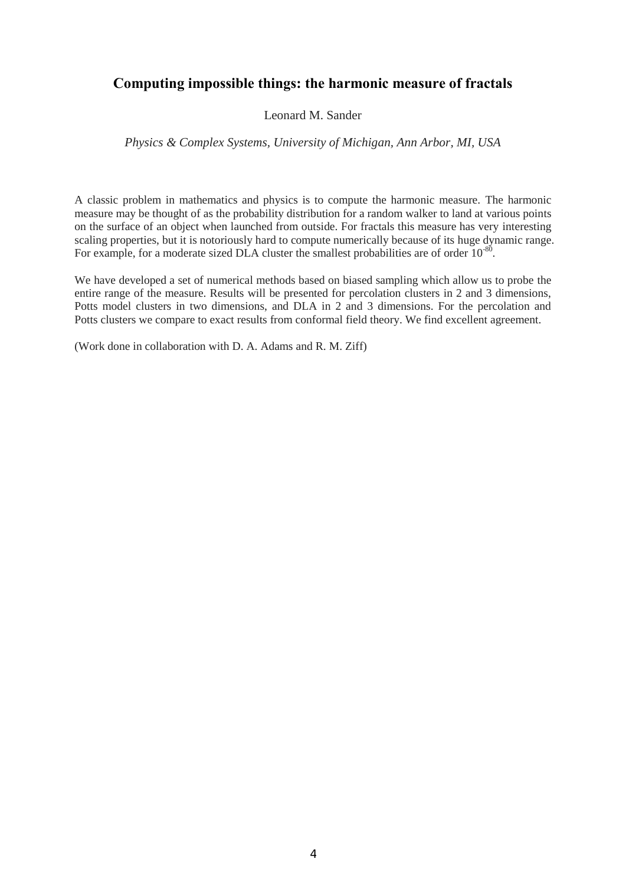# **Computing impossible things: the harmonic measure of fractals**

### Leonard M. Sander

### *Physics & Complex Systems, University of Michigan, Ann Arbor, MI, USA*

A classic problem in mathematics and physics is to compute the harmonic measure. The harmonic measure may be thought of as the probability distribution for a random walker to land at various points on the surface of an object when launched from outside. For fractals this measure has very interesting scaling properties, but it is notoriously hard to compute numerically because of its huge dynamic range. For example, for a moderate sized DLA cluster the smallest probabilities are of order  $10^{-80}$ .

We have developed a set of numerical methods based on biased sampling which allow us to probe the entire range of the measure. Results will be presented for percolation clusters in 2 and 3 dimensions, Potts model clusters in two dimensions, and DLA in 2 and 3 dimensions. For the percolation and Potts clusters we compare to exact results from conformal field theory. We find excellent agreement.

(Work done in collaboration with D. A. Adams and R. M. Ziff)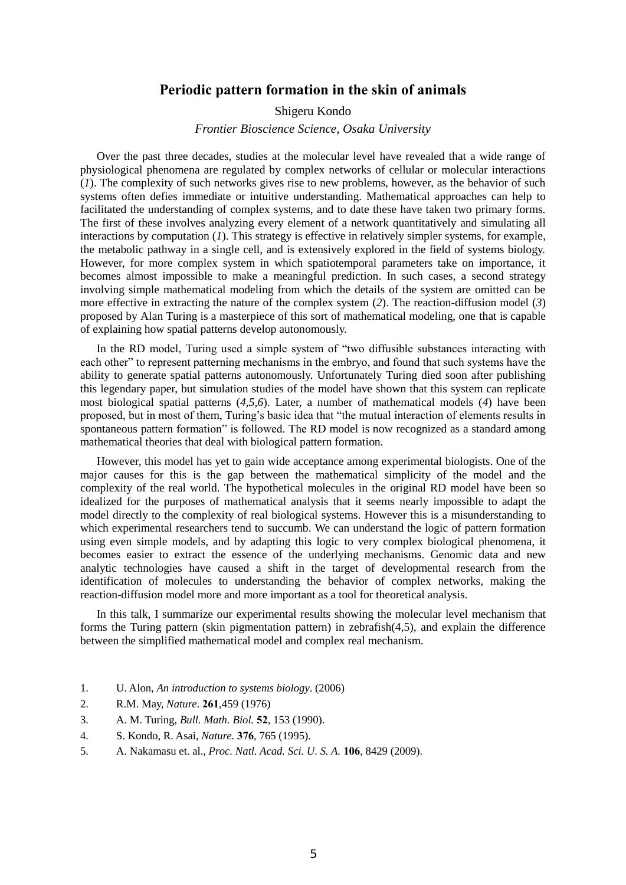### **Periodic pattern formation in the skin of animals**

#### Shigeru Kondo

#### *Frontier Bioscience Science, Osaka University*

Over the past three decades, studies at the molecular level have revealed that a wide range of physiological phenomena are regulated by complex networks of cellular or molecular interactions (*1*). The complexity of such networks gives rise to new problems, however, as the behavior of such systems often defies immediate or intuitive understanding. Mathematical approaches can help to facilitated the understanding of complex systems, and to date these have taken two primary forms. The first of these involves analyzing every element of a network quantitatively and simulating all interactions by computation (*1*). This strategy is effective in relatively simpler systems, for example, the metabolic pathway in a single cell, and is extensively explored in the field of systems biology. However, for more complex system in which spatiotemporal parameters take on importance, it becomes almost impossible to make a meaningful prediction. In such cases, a second strategy involving simple mathematical modeling from which the details of the system are omitted can be more effective in extracting the nature of the complex system (*2*). The reaction-diffusion model (*3*) proposed by Alan Turing is a masterpiece of this sort of mathematical modeling, one that is capable of explaining how spatial patterns develop autonomously.

In the RD model, Turing used a simple system of "two diffusible substances interacting with each other" to represent patterning mechanisms in the embryo, and found that such systems have the ability to generate spatial patterns autonomously. Unfortunately Turing died soon after publishing this legendary paper, but simulation studies of the model have shown that this system can replicate most biological spatial patterns (*4,5,6*). Later, a number of mathematical models (*4*) have been proposed, but in most of them, Turing's basic idea that "the mutual interaction of elements results in spontaneous pattern formation" is followed. The RD model is now recognized as a standard among mathematical theories that deal with biological pattern formation.

However, this model has yet to gain wide acceptance among experimental biologists. One of the major causes for this is the gap between the mathematical simplicity of the model and the complexity of the real world. The hypothetical molecules in the original RD model have been so idealized for the purposes of mathematical analysis that it seems nearly impossible to adapt the model directly to the complexity of real biological systems. However this is a misunderstanding to which experimental researchers tend to succumb. We can understand the logic of pattern formation using even simple models, and by adapting this logic to very complex biological phenomena, it becomes easier to extract the essence of the underlying mechanisms. Genomic data and new analytic technologies have caused a shift in the target of developmental research from the identification of molecules to understanding the behavior of complex networks, making the reaction-diffusion model more and more important as a tool for theoretical analysis.

In this talk, I summarize our experimental results showing the molecular level mechanism that forms the Turing pattern (skin pigmentation pattern) in zebrafish(4,5), and explain the difference between the simplified mathematical model and complex real mechanism.

- 1. U. Alon, *An introduction to systems biology*. (2006)
- 2. R.M. May, *Nature*. **261**,459 (1976)
- 3. A. M. Turing, *Bull. Math. Biol.* **52**, 153 (1990).
- 4. S. Kondo, R. Asai, *Nature.* **376**, 765 (1995).
- 5. A. Nakamasu et. al., *Proc. Natl. Acad. Sci. U. S. A.* **106**, 8429 (2009).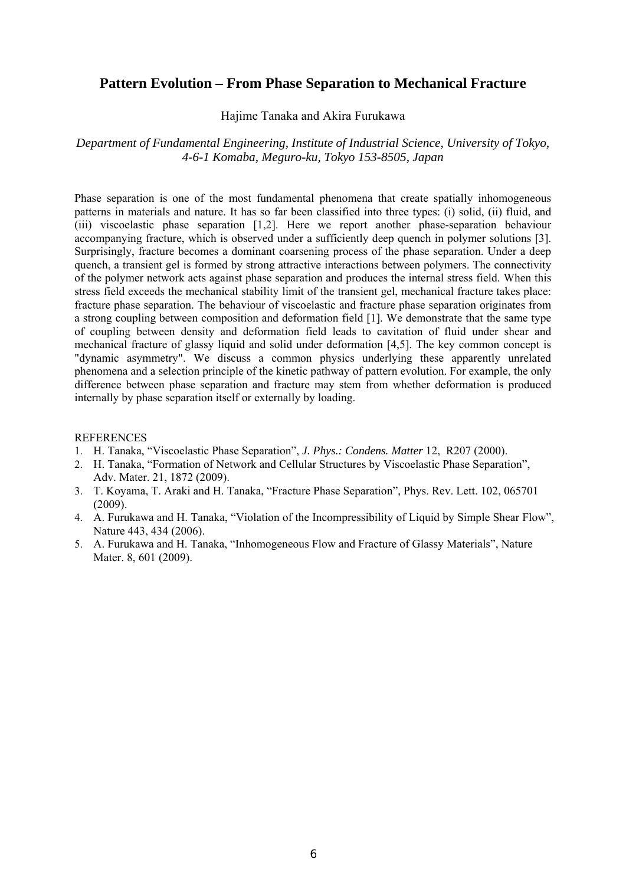## **Pattern Evolution – From Phase Separation to Mechanical Fracture**

Hajime Tanaka and Akira Furukawa

*Department of Fundamental Engineering, Institute of Industrial Science, University of Tokyo, 4-6-1 Komaba, Meguro-ku, Tokyo 153-8505, Japan* 

Phase separation is one of the most fundamental phenomena that create spatially inhomogeneous patterns in materials and nature. It has so far been classified into three types: (i) solid, (ii) fluid, and (iii) viscoelastic phase separation [1,2]. Here we report another phase-separation behaviour accompanying fracture, which is observed under a sufficiently deep quench in polymer solutions [3]. Surprisingly, fracture becomes a dominant coarsening process of the phase separation. Under a deep quench, a transient gel is formed by strong attractive interactions between polymers. The connectivity of the polymer network acts against phase separation and produces the internal stress field. When this stress field exceeds the mechanical stability limit of the transient gel, mechanical fracture takes place: fracture phase separation. The behaviour of viscoelastic and fracture phase separation originates from a strong coupling between composition and deformation field [1]. We demonstrate that the same type of coupling between density and deformation field leads to cavitation of fluid under shear and mechanical fracture of glassy liquid and solid under deformation [4,5]. The key common concept is "dynamic asymmetry". We discuss a common physics underlying these apparently unrelated phenomena and a selection principle of the kinetic pathway of pattern evolution. For example, the only difference between phase separation and fracture may stem from whether deformation is produced internally by phase separation itself or externally by loading.

- 1. H. Tanaka, "Viscoelastic Phase Separation", *J. Phys.: Condens. Matter* 12, R207 (2000).
- 2. H. Tanaka, "Formation of Network and Cellular Structures by Viscoelastic Phase Separation", Adv. Mater. 21, 1872 (2009).
- 3. T. Koyama, T. Araki and H. Tanaka, "Fracture Phase Separation", Phys. Rev. Lett. 102, 065701 (2009).
- 4. A. Furukawa and H. Tanaka, "Violation of the Incompressibility of Liquid by Simple Shear Flow", Nature 443, 434 (2006).
- 5. A. Furukawa and H. Tanaka, "Inhomogeneous Flow and Fracture of Glassy Materials", Nature Mater. 8, 601 (2009).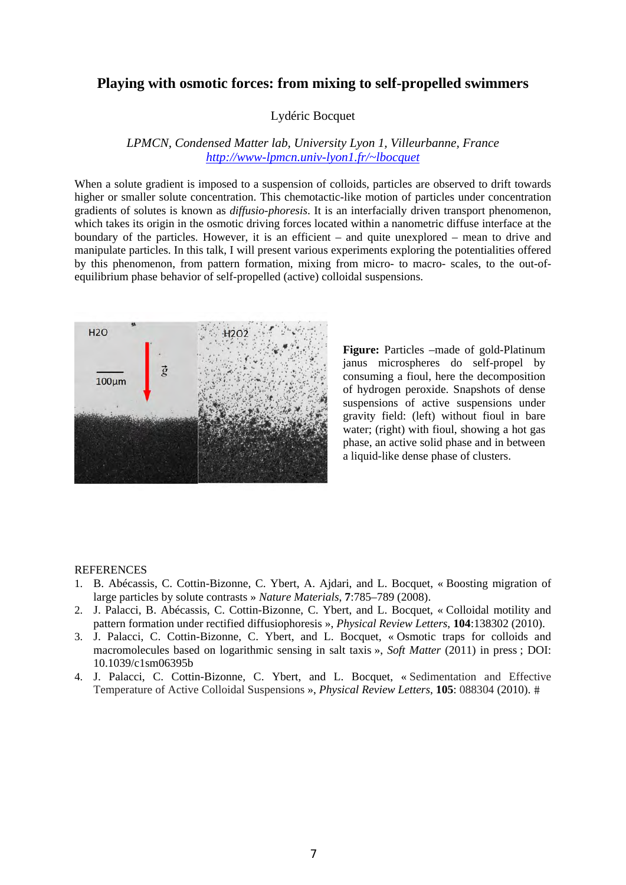## **Playing with osmotic forces: from mixing to self-propelled swimmers**

### Lydéric Bocquet

### *LPMCN, Condensed Matter lab, University Lyon 1, Villeurbanne, France http://www-lpmcn.univ-lyon1.fr/~lbocquet*

When a solute gradient is imposed to a suspension of colloids, particles are observed to drift towards higher or smaller solute concentration. This chemotactic-like motion of particles under concentration gradients of solutes is known as *diffusio-phoresis*. It is an interfacially driven transport phenomenon, which takes its origin in the osmotic driving forces located within a nanometric diffuse interface at the boundary of the particles. However, it is an efficient – and quite unexplored – mean to drive and manipulate particles. In this talk, I will present various experiments exploring the potentialities offered by this phenomenon, from pattern formation, mixing from micro- to macro- scales, to the out-ofequilibrium phase behavior of self-propelled (active) colloidal suspensions.



**Figure:** Particles –made of gold-Platinum janus microspheres do self-propel by consuming a fioul, here the decomposition of hydrogen peroxide. Snapshots of dense suspensions of active suspensions under gravity field: (left) without fioul in bare water; (right) with fioul, showing a hot gas phase, an active solid phase and in between a liquid-like dense phase of clusters.

- 1. B. Abécassis, C. Cottin-Bizonne, C. Ybert, A. Ajdari, and L. Bocquet, « Boosting migration of large particles by solute contrasts » *Nature Materials*, **7**:785–789 (2008).
- 2. J. Palacci, B. Abécassis, C. Cottin-Bizonne, C. Ybert, and L. Bocquet, « Colloidal motility and pattern formation under rectified diffusiophoresis », *Physical Review Letters*, **104**:138302 (2010).
- 3. J. Palacci, C. Cottin-Bizonne, C. Ybert, and L. Bocquet, « Osmotic traps for colloids and macromolecules based on logarithmic sensing in salt taxis », *Soft Matter* (2011) in press ; DOI: 10.1039/c1sm06395b
- 4. J. Palacci, C. Cottin-Bizonne, C. Ybert, and L. Bocquet, « Sedimentation and Effective Temperature of Active Colloidal Suspensions », *Physical Review Letters*, **105**: 088304 (2010).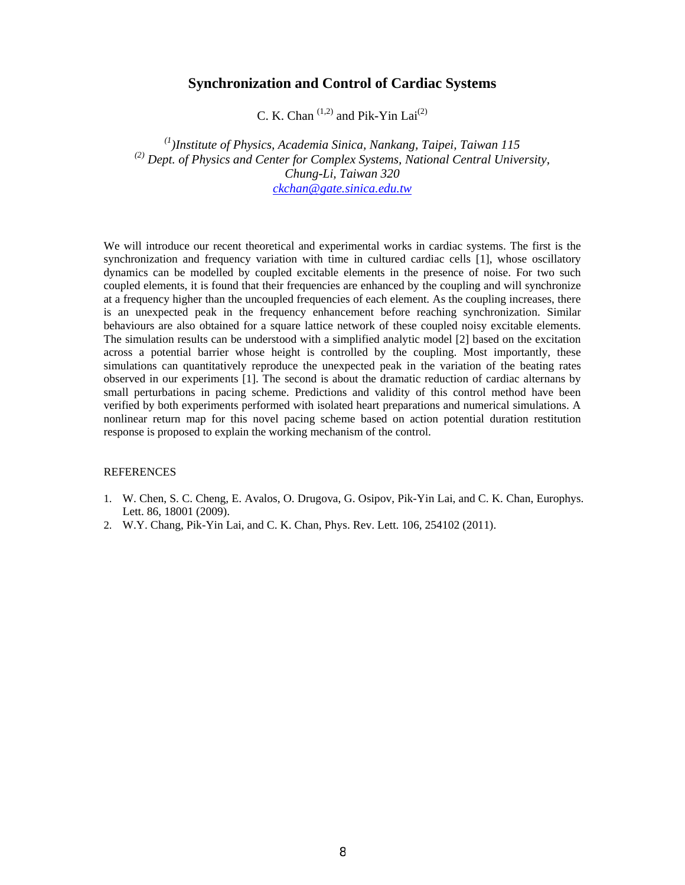### **Synchronization and Control of Cardiac Systems**

C. K. Chan  $(1,2)$  and Pik-Yin Lai $(2)$ 

*(1)Institute of Physics, Academia Sinica, Nankang, Taipei, Taiwan 115 (2) Dept. of Physics and Center for Complex Systems, National Central University, Chung-Li, Taiwan 320 ckchan@gate.sinica.edu.tw*

We will introduce our recent theoretical and experimental works in cardiac systems. The first is the synchronization and frequency variation with time in cultured cardiac cells [1], whose oscillatory dynamics can be modelled by coupled excitable elements in the presence of noise. For two such coupled elements, it is found that their frequencies are enhanced by the coupling and will synchronize at a frequency higher than the uncoupled frequencies of each element. As the coupling increases, there is an unexpected peak in the frequency enhancement before reaching synchronization. Similar behaviours are also obtained for a square lattice network of these coupled noisy excitable elements. The simulation results can be understood with a simplified analytic model [2] based on the excitation across a potential barrier whose height is controlled by the coupling. Most importantly, these simulations can quantitatively reproduce the unexpected peak in the variation of the beating rates observed in our experiments [1]. The second is about the dramatic reduction of cardiac alternans by small perturbations in pacing scheme. Predictions and validity of this control method have been verified by both experiments performed with isolated heart preparations and numerical simulations. A nonlinear return map for this novel pacing scheme based on action potential duration restitution response is proposed to explain the working mechanism of the control.

- 1. W. Chen, S. C. Cheng, E. Avalos, O. Drugova, G. Osipov, Pik-Yin Lai, and C. K. Chan, Europhys. Lett. 86, 18001 (2009).
- 2. W.Y. Chang, Pik-Yin Lai, and C. K. Chan, Phys. Rev. Lett. 106, 254102 (2011).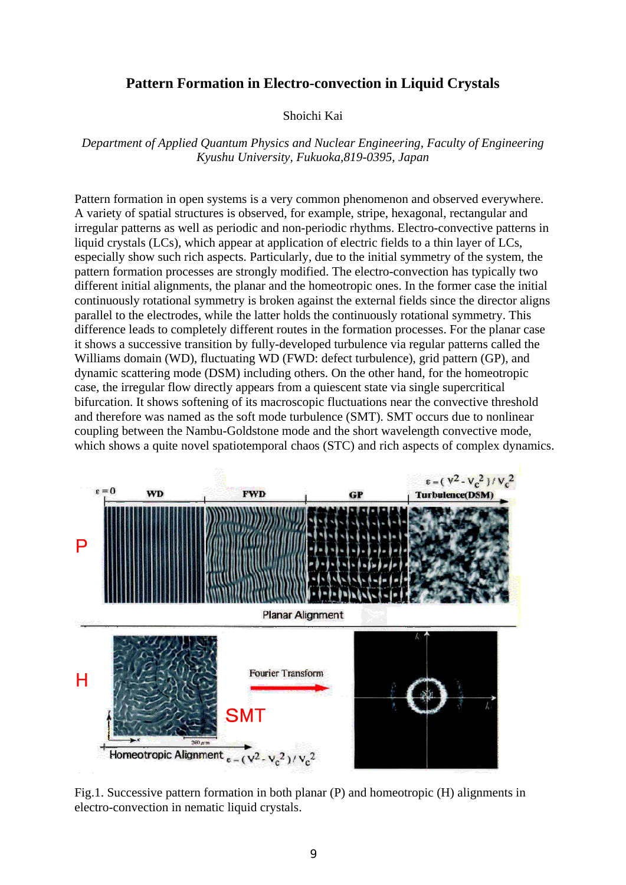## **Pattern Formation in Electro-convection in Liquid Crystals**

### Shoichi Kai

*Department of Applied Quantum Physics and Nuclear Engineering, Faculty of Engineering Kyushu University, Fukuoka,819-0395, Japan* 

Pattern formation in open systems is a very common phenomenon and observed everywhere. A variety of spatial structures is observed, for example, stripe, hexagonal, rectangular and irregular patterns as well as periodic and non-periodic rhythms. Electro-convective patterns in liquid crystals (LCs), which appear at application of electric fields to a thin layer of LCs, especially show such rich aspects. Particularly, due to the initial symmetry of the system, the pattern formation processes are strongly modified. The electro-convection has typically two different initial alignments, the planar and the homeotropic ones. In the former case the initial continuously rotational symmetry is broken against the external fields since the director aligns parallel to the electrodes, while the latter holds the continuously rotational symmetry. This difference leads to completely different routes in the formation processes. For the planar case it shows a successive transition by fully-developed turbulence via regular patterns called the Williams domain (WD), fluctuating WD (FWD: defect turbulence), grid pattern (GP), and dynamic scattering mode (DSM) including others. On the other hand, for the homeotropic case, the irregular flow directly appears from a quiescent state via single supercritical bifurcation. It shows softening of its macroscopic fluctuations near the convective threshold and therefore was named as the soft mode turbulence (SMT). SMT occurs due to nonlinear coupling between the Nambu-Goldstone mode and the short wavelength convective mode, which shows a quite novel spatiotemporal chaos (STC) and rich aspects of complex dynamics.



Fig.1. Successive pattern formation in both planar (P) and homeotropic (H) alignments in electro-convection in nematic liquid crystals.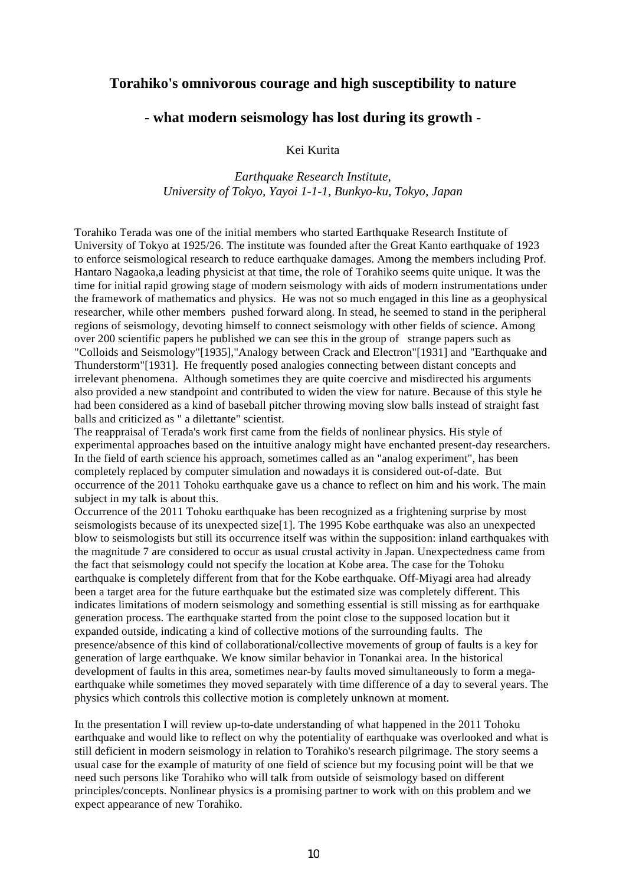## **Torahiko's omnivorous courage and high susceptibility to nature**

## **- what modern seismology has lost during its growth -**

Kei Kurita

*Earthquake Research Institute, University of Tokyo, Yayoi 1-1-1, Bunkyo-ku, Tokyo, Japan* 

Torahiko Terada was one of the initial members who started Earthquake Research Institute of University of Tokyo at 1925/26. The institute was founded after the Great Kanto earthquake of 1923 to enforce seismological research to reduce earthquake damages. Among the members including Prof. Hantaro Nagaoka,a leading physicist at that time, the role of Torahiko seems quite unique. It was the time for initial rapid growing stage of modern seismology with aids of modern instrumentations under the framework of mathematics and physics. He was not so much engaged in this line as a geophysical researcher, while other members pushed forward along. In stead, he seemed to stand in the peripheral regions of seismology, devoting himself to connect seismology with other fields of science. Among over 200 scientific papers he published we can see this in the group of strange papers such as "Colloids and Seismology"[1935],"Analogy between Crack and Electron"[1931] and "Earthquake and Thunderstorm"[1931]. He frequently posed analogies connecting between distant concepts and irrelevant phenomena. Although sometimes they are quite coercive and misdirected his arguments also provided a new standpoint and contributed to widen the view for nature. Because of this style he had been considered as a kind of baseball pitcher throwing moving slow balls instead of straight fast balls and criticized as " a dilettante" scientist.

The reappraisal of Terada's work first came from the fields of nonlinear physics. His style of experimental approaches based on the intuitive analogy might have enchanted present-day researchers. In the field of earth science his approach, sometimes called as an "analog experiment", has been completely replaced by computer simulation and nowadays it is considered out-of-date. But occurrence of the 2011 Tohoku earthquake gave us a chance to reflect on him and his work. The main subject in my talk is about this.

Occurrence of the 2011 Tohoku earthquake has been recognized as a frightening surprise by most seismologists because of its unexpected size<sup>[1]</sup>. The 1995 Kobe earthquake was also an unexpected blow to seismologists but still its occurrence itself was within the supposition: inland earthquakes with the magnitude 7 are considered to occur as usual crustal activity in Japan. Unexpectedness came from the fact that seismology could not specify the location at Kobe area. The case for the Tohoku earthquake is completely different from that for the Kobe earthquake. Off-Miyagi area had already been a target area for the future earthquake but the estimated size was completely different. This indicates limitations of modern seismology and something essential is still missing as for earthquake generation process. The earthquake started from the point close to the supposed location but it expanded outside, indicating a kind of collective motions of the surrounding faults. The presence/absence of this kind of collaborational/collective movements of group of faults is a key for generation of large earthquake. We know similar behavior in Tonankai area. In the historical development of faults in this area, sometimes near-by faults moved simultaneously to form a megaearthquake while sometimes they moved separately with time difference of a day to several years. The physics which controls this collective motion is completely unknown at moment.

In the presentation I will review up-to-date understanding of what happened in the 2011 Tohoku earthquake and would like to reflect on why the potentiality of earthquake was overlooked and what is still deficient in modern seismology in relation to Torahiko's research pilgrimage. The story seems a usual case for the example of maturity of one field of science but my focusing point will be that we need such persons like Torahiko who will talk from outside of seismology based on different principles/concepts. Nonlinear physics is a promising partner to work with on this problem and we expect appearance of new Torahiko.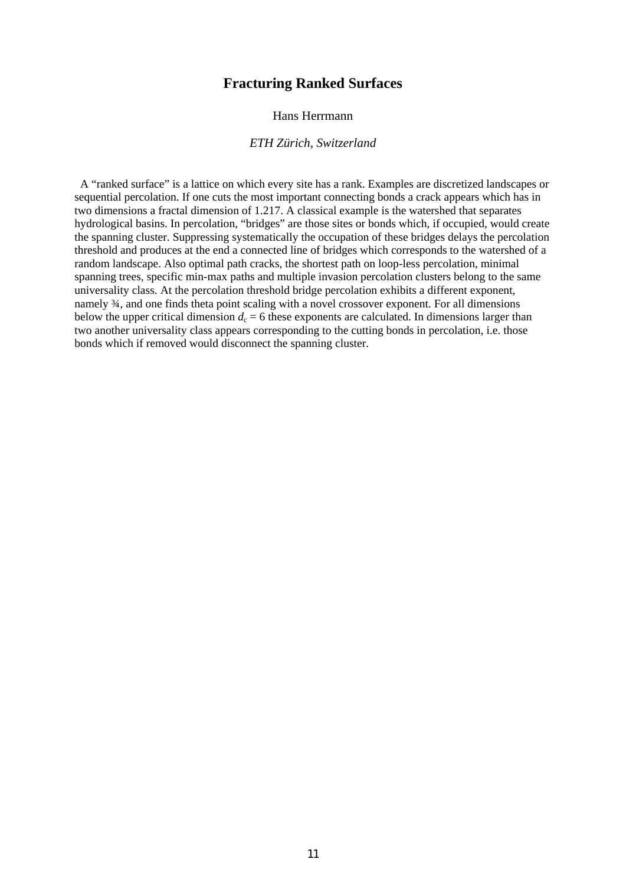## **Fracturing Ranked Surfaces**

### Hans Herrmann

#### *ETH Zürich, Switzerland*

A "ranked surface" is a lattice on which every site has a rank. Examples are discretized landscapes or sequential percolation. If one cuts the most important connecting bonds a crack appears which has in two dimensions a fractal dimension of 1.217. A classical example is the watershed that separates hydrological basins. In percolation, "bridges" are those sites or bonds which, if occupied, would create the spanning cluster. Suppressing systematically the occupation of these bridges delays the percolation threshold and produces at the end a connected line of bridges which corresponds to the watershed of a random landscape. Also optimal path cracks, the shortest path on loop-less percolation, minimal spanning trees, specific min-max paths and multiple invasion percolation clusters belong to the same universality class. At the percolation threshold bridge percolation exhibits a different exponent, namely ¾, and one finds theta point scaling with a novel crossover exponent. For all dimensions below the upper critical dimension  $d_c = 6$  these exponents are calculated. In dimensions larger than two another universality class appears corresponding to the cutting bonds in percolation, i.e. those bonds which if removed would disconnect the spanning cluster.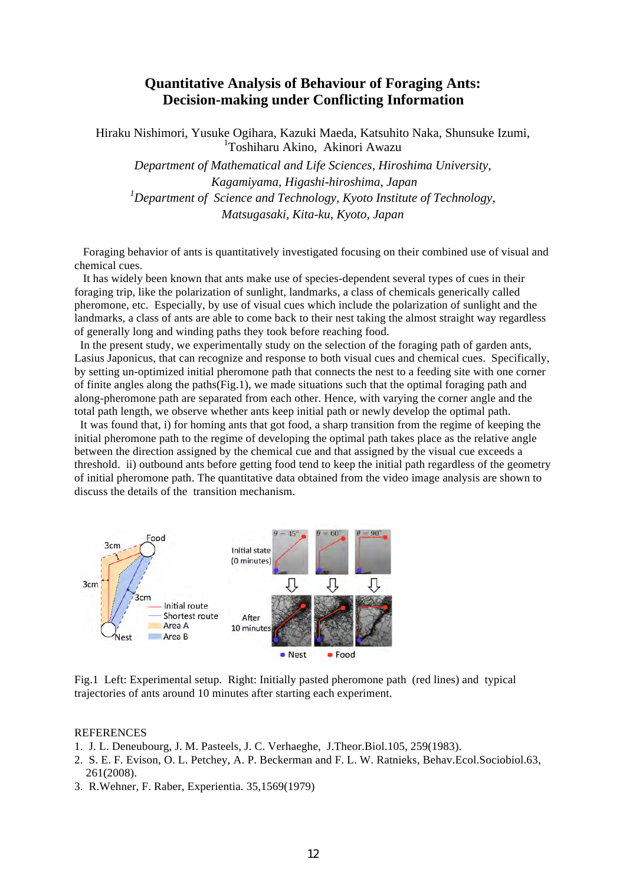## **Quantitative Analysis of Behaviour of Foraging Ants: Decision-making under Conflicting Information**

Hiraku Nishimori, Yusuke Ogihara, Kazuki Maeda, Katsuhito Naka, Shunsuke Izumi, 1 Toshiharu Akino, Akinori Awazu

*Department of Mathematical and Life Sciences, Hiroshima University, Kagamiyama, Higashi-hiroshima, Japan 1 Department of Science and Technology, Kyoto Institute of Technology, Matsugasaki, Kita-ku, Kyoto, Japan*

 Foraging behavior of ants is quantitatively investigated focusing on their combined use of visual and chemical cues.

 It has widely been known that ants make use of species-dependent several types of cues in their foraging trip, like the polarization of sunlight, landmarks, a class of chemicals generically called pheromone, etc. Especially, by use of visual cues which include the polarization of sunlight and the landmarks, a class of ants are able to come back to their nest taking the almost straight way regardless of generally long and winding paths they took before reaching food.

In the present study, we experimentally study on the selection of the foraging path of garden ants, Lasius Japonicus, that can recognize and response to both visual cues and chemical cues. Specifically, by setting un-optimized initial pheromone path that connects the nest to a feeding site with one corner of finite angles along the paths(Fig.1), we made situations such that the optimal foraging path and along-pheromone path are separated from each other. Hence, with varying the corner angle and the total path length, we observe whether ants keep initial path or newly develop the optimal path.

It was found that, i) for homing ants that got food, a sharp transition from the regime of keeping the initial pheromone path to the regime of developing the optimal path takes place as the relative angle between the direction assigned by the chemical cue and that assigned by the visual cue exceeds a threshold. ii) outbound ants before getting food tend to keep the initial path regardless of the geometry of initial pheromone path. The quantitative data obtained from the video image analysis are shown to discuss the details of the transition mechanism.



Fig.1 Left: Experimental setup. Right: Initially pasted pheromone path (red lines) and typical trajectories of ants around 10 minutes after starting each experiment.

- 1. J. L. Deneubourg, J. M. Pasteels, J. C. Verhaeghe, J.Theor.Biol.105, 259(1983).
- 2. S. E. F. Evison, O. L. Petchey, A. P. Beckerman and F. L. W. Ratnieks, Behav.Ecol.Sociobiol.63, 261(2008).
- 3. R.Wehner, F. Raber, Experientia. 35,1569(1979)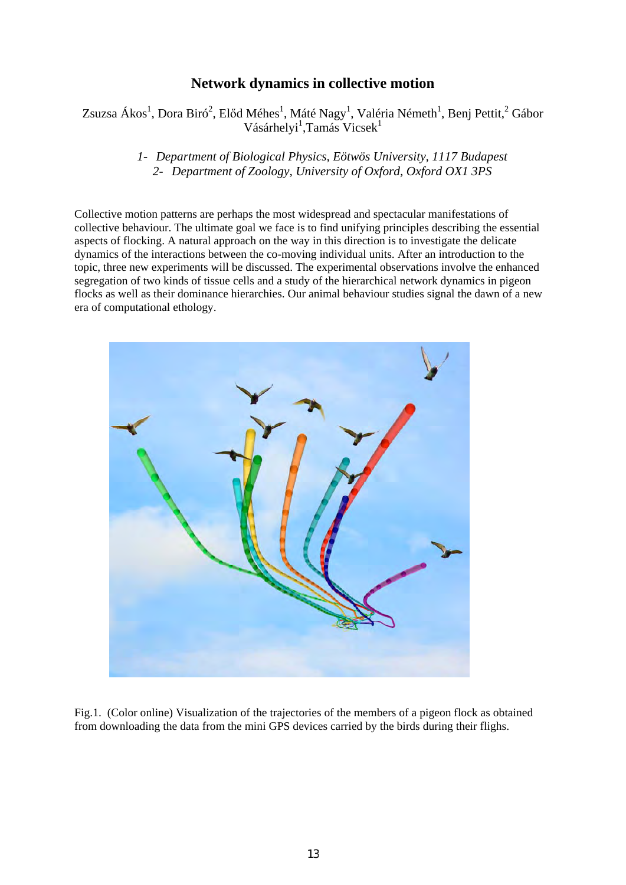# **Network dynamics in collective motion**

## Zsuzsa Ákos<sup>1</sup>, Dora Biró<sup>2</sup>, Előd Méhes<sup>1</sup>, Máté Nagy<sup>1</sup>, Valéria Németh<sup>1</sup>, Benj Pettit,<sup>2</sup> Gábor Vásárhelyi<sup>1</sup>,Tamás Vicsek<sup>1</sup>

### *1- Department of Biological Physics, Eötwös University, 1117 Budapest 2- Department of Zoology, University of Oxford, Oxford OX1 3PS*

Collective motion patterns are perhaps the most widespread and spectacular manifestations of collective behaviour. The ultimate goal we face is to find unifying principles describing the essential aspects of flocking. A natural approach on the way in this direction is to investigate the delicate dynamics of the interactions between the co-moving individual units. After an introduction to the topic, three new experiments will be discussed. The experimental observations involve the enhanced segregation of two kinds of tissue cells and a study of the hierarchical network dynamics in pigeon flocks as well as their dominance hierarchies. Our animal behaviour studies signal the dawn of a new era of computational ethology.



Fig.1. (Color online) Visualization of the trajectories of the members of a pigeon flock as obtained from downloading the data from the mini GPS devices carried by the birds during their flighs.